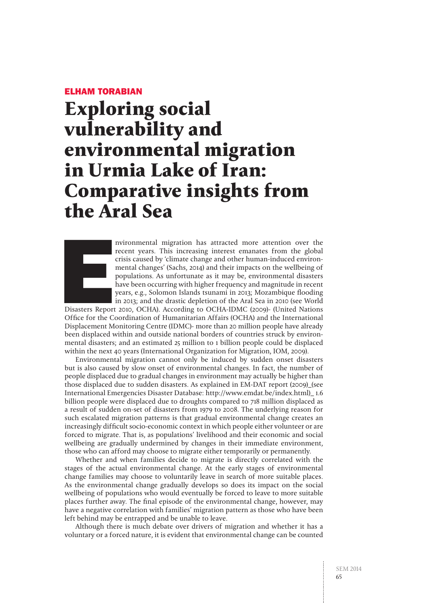# **Exploring social vulnerability and environmental migration in Urmia Lake of Iran: Comparative insights from the Aral Sea**



nvironmental migration has attracted more attention over the recent years. This increasing interest emanates from the global crisis caused by 'climate change and other human-induced environmental changes' (Sachs, 2014) and their impacts on the wellbeing of populations. As unfortunate as it may be, environmental disasters have been occurring with higher frequency and magnitude in recent years, e.g., Solomon Islands tsunami in 2013; Mozambique flooding in 2013; and the drastic depletion of the Aral Sea in 2010 (see World

Disasters Report 2010, OCHA). According to OCHA-IDMC (2009)- (United Nations Office for the Coordination of Humanitarian Affairs (OCHA) and the International Displacement Monitoring Centre (IDMC)- more than 20 million people have already been displaced within and outside national borders of countries struck by environmental disasters; and an estimated 25 million to 1 billion people could be displaced within the next 40 years (International Organization for Migration, IOM, 2009).

Environmental migration cannot only be induced by sudden onset disasters but is also caused by slow onset of environmental changes. In fact, the number of people displaced due to gradual changes in environment may actually be higher than those displaced due to sudden disasters. As explained in EM-DAT report (2009)\_(see International Emergencies Disaster Database: http://www.emdat.be/index.html)\_ 1.6 billion people were displaced due to droughts compared to 718 million displaced as a result of sudden on-set of disasters from 1979 to 2008. The underlying reason for such escalated migration patterns is that gradual environmental change creates an increasingly difficult socio-economic context in which people either volunteer or are forced to migrate. That is, as populations' livelihood and their economic and social wellbeing are gradually undermined by changes in their immediate environment, those who can afford may choose to migrate either temporarily or permanently.

Whether and when families decide to migrate is directly correlated with the stages of the actual environmental change. At the early stages of environmental change families may choose to voluntarily leave in search of more suitable places. As the environmental change gradually develops so does its impact on the social wellbeing of populations who would eventually be forced to leave to more suitable places further away. The final episode of the environmental change, however, may have a negative correlation with families' migration pattern as those who have been left behind may be entrapped and be unable to leave.

Although there is much debate over drivers of migration and whether it has a voluntary or a forced nature, it is evident that environmental change can be counted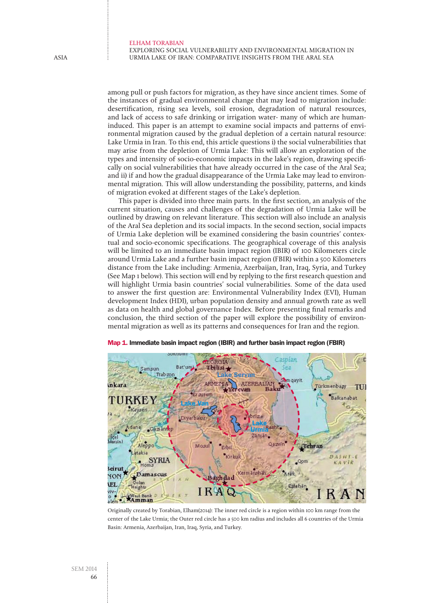Exploring social vulnerability and environmental migration in Urmia Lake of Iran: Comparative insights from the Aral Sea

among pull or push factors for migration, as they have since ancient times. Some of the instances of gradual environmental change that may lead to migration include: desertification, rising sea levels, soil erosion, degradation of natural resources, and lack of access to safe drinking or irrigation water- many of which are humaninduced. This paper is an attempt to examine social impacts and patterns of environmental migration caused by the gradual depletion of a certain natural resource: Lake Urmia in Iran. To this end, this article questions i) the social vulnerabilities that may arise from the depletion of Urmia Lake: This will allow an exploration of the types and intensity of socio-economic impacts in the lake's region, drawing specifically on social vulnerabilities that have already occurred in the case of the Aral Sea; and ii) if and how the gradual disappearance of the Urmia Lake may lead to environmental migration. This will allow understanding the possibility, patterns, and kinds of migration evoked at different stages of the Lake's depletion.

This paper is divided into three main parts. In the first section, an analysis of the current situation, causes and challenges of the degradation of Urmia Lake will be outlined by drawing on relevant literature. This section will also include an analysis of the Aral Sea depletion and its social impacts. In the second section, social impacts of Urmia Lake depletion will be examined considering the basin countries' contextual and socio-economic specifications. The geographical coverage of this analysis will be limited to an immediate basin impact region (IBIR) of 100 Kilometers circle around Urmia Lake and a further basin impact region (FBIR) within a 500 Kilometers distance from the Lake including: Armenia, Azerbaijan, Iran, Iraq, Syria, and Turkey (See Map 1 below). This section will end by replying to the first research question and will highlight Urmia basin countries' social vulnerabilities. Some of the data used to answer the first question are: Environmental Vulnerability Index (EVI), Human development Index (HDI), urban population density and annual growth rate as well as data on health and global governance Index. Before presenting final remarks and conclusion, the third section of the paper will explore the possibility of environmental migration as well as its patterns and consequences for Iran and the region.



Map 1. Immediate basin impact region (IBIR) and further basin impact region (FBIR)

Originally created by Torabian, Elham(2014): The inner red circle is a region within 100 km range from the center of the Lake Urmia; the Outer red circle has a 500 km radius and includes all 6 countries of the Urmia Basin: Armenia, Azerbaijan, Iran, Iraq, Syria, and Turkey.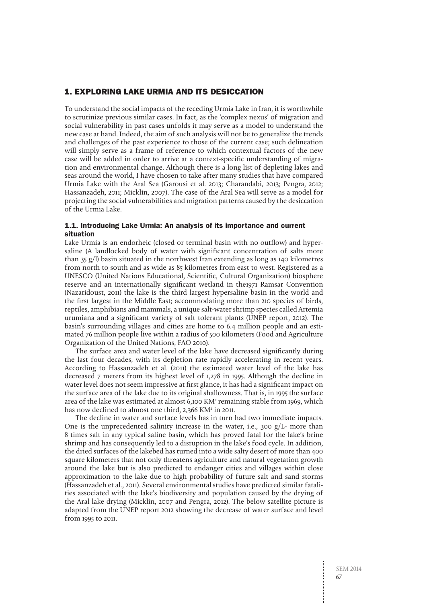## 1. Exploring Lake Urmia and its desiccation

To understand the social impacts of the receding Urmia Lake in Iran, it is worthwhile to scrutinize previous similar cases. In fact, as the 'complex nexus' of migration and social vulnerability in past cases unfolds it may serve as a model to understand the new case at hand. Indeed, the aim of such analysis will not be to generalize the trends and challenges of the past experience to those of the current case; such delineation will simply serve as a frame of reference to which contextual factors of the new case will be added in order to arrive at a context-specific understanding of migration and environmental change. Although there is a long list of depleting lakes and seas around the world, I have chosen to take after many studies that have compared Urmia Lake with the Aral Sea (Garousi et al. 2013; Charandabi, 2013; Pengra, 2012; Hassanzadeh, 2011; Micklin, 2007). The case of the Aral Sea will serve as a model for projecting the social vulnerabilities and migration patterns caused by the desiccation of the Urmia Lake.

## 1.1. Introducing Lake Urmia: An analysis of its importance and current situation

Lake Urmia is an endorheic (closed or terminal basin with no outflow) and hypersaline (A landlocked body of water with significant concentration of salts more than 35 g/l) basin situated in the northwest Iran extending as long as 140 kilometres from north to south and as wide as 85 kilometres from east to west. Registered as a UNESCO (United Nations Educational, Scientific, Cultural Organization) biosphere reserve and an internationally significant wetland in the1971 Ramsar Convention (Nazaridoust, 2011) the lake is the third largest hypersaline basin in the world and the first largest in the Middle East; accommodating more than 210 species of birds, reptiles, amphibians and mammals, a unique salt-water shrimp species called Artemia urumiana and a significant variety of salt tolerant plants (UNEP report, 2012). The basin's surrounding villages and cities are home to 6.4 million people and an estimated 76 million people live within a radius of 500 kilometers (Food and Agriculture Organization of the United Nations, FAO 2010).

The surface area and water level of the lake have decreased significantly during the last four decades, with its depletion rate rapidly accelerating in recent years. According to Hassanzadeh et al. (2011) the estimated water level of the lake has decreased 7 meters from its highest level of 1,278 in 1995. Although the decline in water level does not seem impressive at first glance, it has had a significant impact on the surface area of the lake due to its original shallowness. That is, in 1995 the surface area of the lake was estimated at almost 6,100 KM<sup>2</sup> remaining stable from 1969, which has now declined to almost one third, 2,366 KM<sup>2</sup> in 2011.

The decline in water and surface levels has in turn had two immediate impacts. One is the unprecedented salinity increase in the water, i.e., 300  $g/L$ - more than 8 times salt in any typical saline basin, which has proved fatal for the lake's brine shrimp and has consequently led to a disruption in the lake's food cycle. In addition, the dried surfaces of the lakebed has turned into a wide salty desert of more than 400 square kilometers that not only threatens agriculture and natural vegetation growth around the lake but is also predicted to endanger cities and villages within close approximation to the lake due to high probability of future salt and sand storms (Hassanzadeh et al., 2011). Several environmental studies have predicted similar fatalities associated with the lake's biodiversity and population caused by the drying of the Aral lake drying (Micklin, 2007 and Pengra, 2012). The below satellite picture is adapted from the UNEP report 2012 showing the decrease of water surface and level from 1995 to 2011.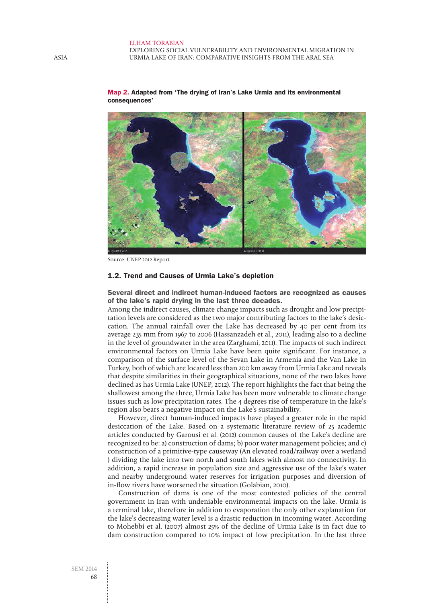Exploring social vulnerability and environmental migration in Urmia Lake of Iran: Comparative insights from the Aral Sea



Map 2. Adapted from 'The drying of Iran's Lake Urmia and its environmental consequences'

Source: UNEP 2012 Report

#### 1.2. Trend and Causes of Urmia Lake's depletion

Several direct and indirect human-induced factors are recognized as causes of the lake's rapid drying in the last three decades.

Among the indirect causes, climate change impacts such as drought and low precipitation levels are considered as the two major contributing factors to the lake's desiccation. The annual rainfall over the Lake has decreased by 40 per cent from its average 235 mm from 1967 to 2006 (Hassanzadeh et al., 2011), leading also to a decline in the level of groundwater in the area (Zarghami, 2011). The impacts of such indirect environmental factors on Urmia Lake have been quite significant. For instance, a comparison of the surface level of the Sevan Lake in Armenia and the Van Lake in Turkey, both of which are located less than 200 km away from Urmia Lake and reveals that despite similarities in their geographical situations, none of the two lakes have declined as has Urmia Lake (UNEP, 2012). The report highlights the fact that being the shallowest among the three, Urmia Lake has been more vulnerable to climate change issues such as low precipitation rates. The 4 degrees rise of temperature in the lake's region also bears a negative impact on the Lake's sustainability.

However, direct human-induced impacts have played a greater role in the rapid desiccation of the Lake. Based on a systematic literature review of 25 academic articles conducted by Garousi et al. (2012) common causes of the Lake's decline are recognized to be: a) construction of dams; b) poor water management policies; and c) construction of a primitive-type causeway (An elevated road/railway over a wetland ) dividing the lake into two north and south lakes with almost no connectivity. In addition, a rapid increase in population size and aggressive use of the lake's water and nearby underground water reserves for irrigation purposes and diversion of in-flow rivers have worsened the situation (Golabian, 2010).

Construction of dams is one of the most contested policies of the central government in Iran with undeniable environmental impacts on the lake. Urmia is a terminal lake, therefore in addition to evaporation the only other explanation for the lake's decreasing water level is a drastic reduction in incoming water. According to Mohebbi et al. (2007) almost 25% of the decline of Urmia Lake is in fact due to dam construction compared to 10% impact of low precipitation. In the last three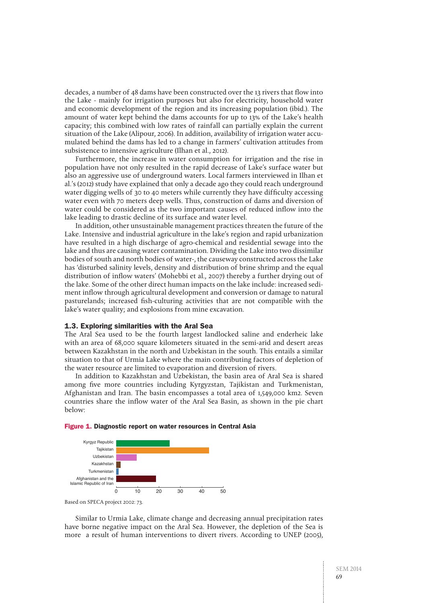decades, a number of 48 dams have been constructed over the 13 rivers that flow into the Lake - mainly for irrigation purposes but also for electricity, household water and economic development of the region and its increasing population (ibid.). The amount of water kept behind the dams accounts for up to 13% of the Lake's health capacity; this combined with low rates of rainfall can partially explain the current situation of the Lake (Alipour, 2006). In addition, availability of irrigation water accumulated behind the dams has led to a change in farmers' cultivation attitudes from subsistence to intensive agriculture (Ilhan et al., 2012).

Furthermore, the increase in water consumption for irrigation and the rise in population have not only resulted in the rapid decrease of Lake's surface water but also an aggressive use of underground waters. Local farmers interviewed in Ilhan et al.'s (2012) study have explained that only a decade ago they could reach underground water digging wells of 30 to 40 meters while currently they have difficulty accessing water even with 70 meters deep wells. Thus, construction of dams and diversion of water could be considered as the two important causes of reduced inflow into the lake leading to drastic decline of its surface and water level.

In addition, other unsustainable management practices threaten the future of the Lake. Intensive and industrial agriculture in the lake's region and rapid urbanization have resulted in a high discharge of agro-chemical and residential sewage into the lake and thus are causing water contamination. Dividing the Lake into two dissimilar bodies of south and north bodies of water-, the causeway constructed across the Lake has 'disturbed salinity levels, density and distribution of brine shrimp and the equal distribution of inflow waters' (Mohebbi et al., 2007) thereby a further drying out of the lake. Some of the other direct human impacts on the lake include: increased sediment inflow through agricultural development and conversion or damage to natural pasturelands; increased fish-culturing activities that are not compatible with the lake's water quality; and explosions from mine excavation.

#### 1.3. Exploring similarities with the Aral Sea

The Aral Sea used to be the fourth largest landlocked saline and enderheic lake with an area of 68,000 square kilometers situated in the semi-arid and desert areas between Kazakhstan in the north and Uzbekistan in the south. This entails a similar situation to that of Urmia Lake where the main contributing factors of depletion of the water resource are limited to evaporation and diversion of rivers.

In addition to Kazakhstan and Uzbekistan, the basin area of Aral Sea is shared among five more countries including Kyrgyzstan, Tajikistan and Turkmenistan, Afghanistan and Iran. The basin encompasses a total area of 1,549,000 km2. Seven countries share the inflow water of the Aral Sea Basin, as shown in the pie chart below:

#### Figure 1. Diagnostic report on water resources in Central Asia



Based on SPECA project 2002: 73.

Similar to Urmia Lake, climate change and decreasing annual precipitation rates have borne negative impact on the Aral Sea. However, the depletion of the Sea is more a result of human interventions to divert rivers. According to UNEP (2005),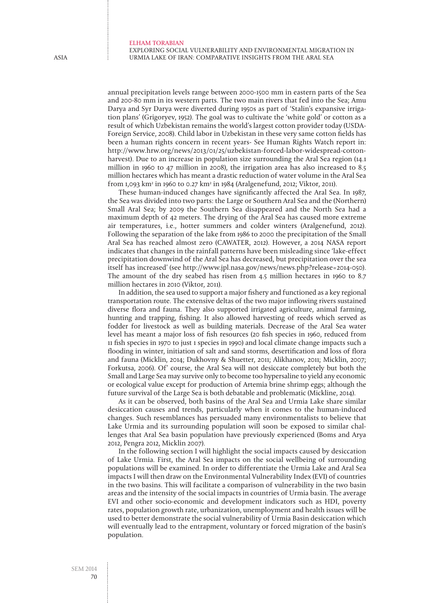Exploring social vulnerability and environmental migration in Urmia Lake of Iran: Comparative insights from the Aral Sea

annual precipitation levels range between 2000-1500 mm in eastern parts of the Sea and 200-80 mm in its western parts. The two main rivers that fed into the Sea; Amu Darya and Syr Darya were diverted during 1950s as part of 'Stalin's expansive irrigation plans' (Grigoryev, 1952). The goal was to cultivate the 'white gold' or cotton as a result of which Uzbekistan remains the world's largest cotton provider today (USDA-Foreign Service, 2008). Child labor in Uzbekistan in these very same cotton fields has been a human rights concern in recent years- See Human Rights Watch report in: http://www.hrw.org/news/2013/01/25/uzbekistan-forced-labor-widespread-cottonharvest). Due to an increase in population size surrounding the Aral Sea region (14.1 million in 1960 to 47 million in 2008), the irrigation area has also increased to 8.5 million hectares which has meant a drastic reduction of water volume in the Aral Sea from 1,093 km<sup>2</sup> in 1960 to 0.27 km<sup>2</sup> in 1984 (Aralgenefund, 2012; Viktor, 2011).

These human-induced changes have significantly affected the Aral Sea. In 1987, the Sea was divided into two parts: the Large or Southern Aral Sea and the (Northern) Small Aral Sea; by 2009 the Southern Sea disappeared and the North Sea had a maximum depth of 42 meters. The drying of the Aral Sea has caused more extreme air temperatures, i.e., hotter summers and colder winters (Aralgenefund, 2012). Following the separation of the lake from 1986 to 2000 the precipitation of the Small Aral Sea has reached almost zero (CAWATER, 2012). However, a 2014 NASA report indicates that changes in the rainfall patterns have been misleading since 'lake-effect precipitation downwind of the Aral Sea has decreased, but precipitation over the sea itself has increased' (see http://www.jpl.nasa.gov/news/news.php?release=2014-050). The amount of the dry seabed has risen from 4.5 million hectares in 1960 to 8.7 million hectares in 2010 (Viktor, 2011).

In addition, the sea used to support a major fishery and functioned as a key regional transportation route. The extensive deltas of the two major inflowing rivers sustained diverse flora and fauna. They also supported irrigated agriculture, animal farming, hunting and trapping, fishing. It also allowed harvesting of reeds which served as fodder for livestock as well as building materials. Decrease of the Aral Sea water level has meant a major loss of fish resources (20 fish species in 1960, reduced from 11 fish species in 1970 to just 1 species in 1990) and local climate change impacts such a flooding in winter, initiation of salt and sand storms, desertification and loss of flora and fauna (Micklin, 2014; Dukhovny & Shuetter, 2011; Alikhanov, 2011; Micklin, 2007; Forkutsa, 2006). Of' course, the Aral Sea will not desiccate completely but both the Small and Large Sea may survive only to become too hypersaline to yield any economic or ecological value except for production of Artemia brine shrimp eggs; although the future survival of the Large Sea is both debatable and problematic (Mickline, 2014).

As it can be observed, both basins of the Aral Sea and Urmia Lake share similar desiccation causes and trends, particularly when it comes to the human-induced changes. Such resemblances has persuaded many environmentalists to believe that Lake Urmia and its surrounding population will soon be exposed to similar challenges that Aral Sea basin population have previously experienced (Boms and Arya 2012, Pengra 2012, Micklin 2007).

In the following section I will highlight the social impacts caused by desiccation of Lake Urmia. First, the Aral Sea impacts on the social wellbeing of surrounding populations will be examined. In order to differentiate the Urmia Lake and Aral Sea impacts I will then draw on the Environmental Vulnerability Index (EVI) of countries in the two basins. This will facilitate a comparison of vulnerability in the two basin areas and the intensity of the social impacts in countries of Urmia basin. The average EVI and other socio-economic and development indicators such as HDI, poverty rates, population growth rate, urbanization, unemployment and health issues will be used to better demonstrate the social vulnerability of Urmia Basin desiccation which will eventually lead to the entrapment, voluntary or forced migration of the basin's population.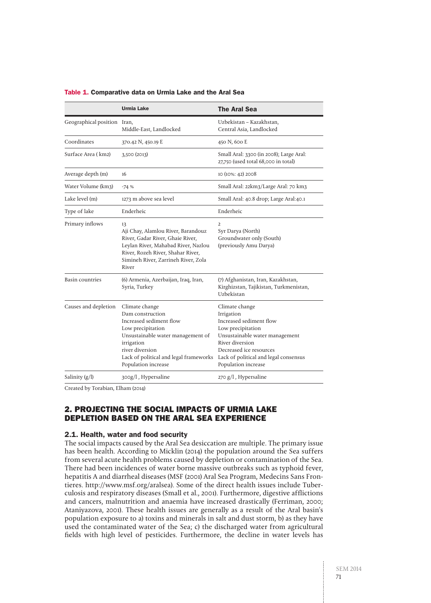|                             | Urmia Lake                                                                                                                                                                                                                | <b>The Aral Sea</b>                                                                                                                                                                                                          |  |  |
|-----------------------------|---------------------------------------------------------------------------------------------------------------------------------------------------------------------------------------------------------------------------|------------------------------------------------------------------------------------------------------------------------------------------------------------------------------------------------------------------------------|--|--|
| Geographical position Iran, | Middle-East, Landlocked                                                                                                                                                                                                   | Uzbekistan - Kazakhstan,<br>Central Asia, Landlocked                                                                                                                                                                         |  |  |
| Coordinates                 | 370.42 N, 450.19 E                                                                                                                                                                                                        | 450 N, 600 E                                                                                                                                                                                                                 |  |  |
| Surface Area (km2)          | 3,500 (2013)                                                                                                                                                                                                              | Small Aral: 3300 (in 2008); Large Aral:<br>27,750 (used total 68,000 in total)                                                                                                                                               |  |  |
| Average depth (m)           | 16                                                                                                                                                                                                                        | 10 (10%: 42) 2008                                                                                                                                                                                                            |  |  |
| Water Volume (km3)          | $-74%$                                                                                                                                                                                                                    | Small Aral: 22km3/Large Aral: 70 km3                                                                                                                                                                                         |  |  |
| Lake level (m)              | 1273 m above sea level                                                                                                                                                                                                    | Small Aral: 40.8 drop; Large Aral:40.1                                                                                                                                                                                       |  |  |
| Type of lake                | Enderheic                                                                                                                                                                                                                 | Enderheic                                                                                                                                                                                                                    |  |  |
| Primary inflows             | 13<br>Aji Chay, Alamlou River, Barandouz<br>River, Gadar River, Ghaie River,<br>Leylan River, Mahabad River, Nazlou<br>River, Rozeh River, Shahar River,<br>Simineh River, Zarrineh River, Zola<br>River                  | 2<br>Syr Darya (North)<br>Groundwater only (South)<br>(previously Amu Darya)                                                                                                                                                 |  |  |
| <b>Basin countries</b>      | (6) Armenia, Azerbaijan, Iraq, Iran,<br>Syria, Turkey                                                                                                                                                                     | (7) Afghanistan, Iran, Kazakhstan,<br>Kirghizstan, Tajikistan, Turkmenistan,<br>Uzbekistan                                                                                                                                   |  |  |
| Causes and depletion        | Climate change<br>Dam construction<br>Increased sediment flow<br>Low precipitation<br>Unsustainable water management of<br>irrigation<br>river diversion<br>Lack of political and legal frameworks<br>Population increase | Climate change<br>Irrigation<br>Increased sediment flow<br>Low precipitation<br>Unsustainable water management<br>River diversion<br>Decreased ice resources<br>Lack of political and legal consensus<br>Population increase |  |  |
| Salinity $(g/l)$            | 300g/l, Hypersaline                                                                                                                                                                                                       | 270 g/l, Hypersaline                                                                                                                                                                                                         |  |  |

#### Table 1. Comparative data on Urmia Lake and the Aral Sea

Created by Torabian, Elham (2014)

## 2. Projecting the Social impacts of Urmia Lake depletion based on the Aral Sea experience

## 2.1. Health, water and food security

The social impacts caused by the Aral Sea desiccation are multiple. The primary issue has been health. According to Micklin (2014) the population around the Sea suffers from several acute health problems caused by depletion or contamination of the Sea. There had been incidences of water borne massive outbreaks such as typhoid fever, hepatitis A and diarrheal diseases (MSF (2001) Aral Sea Program, Medecins Sans Frontieres. http://www.msf.org/aralsea). Some of the direct health issues include Tuberculosis and respiratory diseases (Small et al., 2001). Furthermore, digestive afflictions and cancers, malnutrition and anaemia have increased drastically (Ferriman, 2000; Ataniyazova, 2001). These health issues are generally as a result of the Aral basin's population exposure to a) toxins and minerals in salt and dust storm, b) as they have used the contaminated water of the Sea; c) the discharged water from agricultural fields with high level of pesticides. Furthermore, the decline in water levels has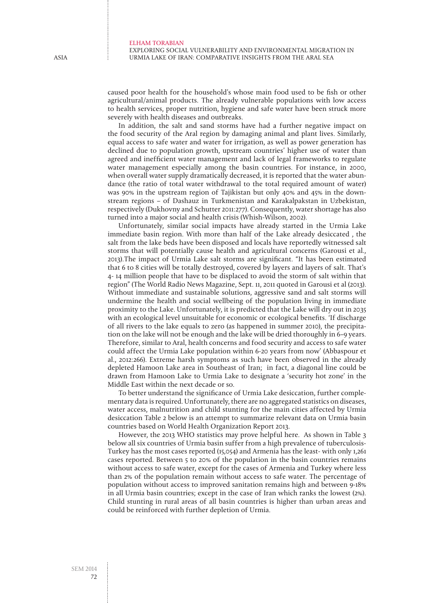Exploring social vulnerability and environmental migration in Urmia Lake of Iran: Comparative insights from the Aral Sea

caused poor health for the household's whose main food used to be fish or other agricultural/animal products. The already vulnerable populations with low access to health services, proper nutrition, hygiene and safe water have been struck more severely with health diseases and outbreaks.

In addition, the salt and sand storms have had a further negative impact on the food security of the Aral region by damaging animal and plant lives. Similarly, equal access to safe water and water for irrigation, as well as power generation has declined due to population growth, upstream countries' higher use of water than agreed and inefficient water management and lack of legal frameworks to regulate water management especially among the basin countries. For instance, in 2000, when overall water supply dramatically decreased, it is reported that the water abundance (the ratio of total water withdrawal to the total required amount of water) was 90% in the upstream region of Tajikistan but only 40% and 45% in the downstream regions – of Dashauz in Turkmenistan and Karakalpakstan in Uzbekistan, respectively (Dukhovny and Schutter 2011:277). Consequently, water shortage has also turned into a major social and health crisis (Whish-Wilson, 2002).

Unfortunately, similar social impacts have already started in the Urmia Lake immediate basin region. With more than half of the Lake already desiccated , the salt from the lake beds have been disposed and locals have reportedly witnessed salt storms that will potentially cause health and agricultural concerns (Garousi et al., 2013).The impact of Urmia Lake salt storms are significant. "It has been estimated that 6 to 8 cities will be totally destroyed, covered by layers and layers of salt. That's 4- 14 million people that have to be displaced to avoid the storm of salt within that region" (The World Radio News Magazine, Sept. 11, 2011 quoted in Garousi et al (2013). Without immediate and sustainable solutions, aggressive sand and salt storms will undermine the health and social wellbeing of the population living in immediate proximity to the Lake. Unfortunately, it is predicted that the Lake will dry out in 2035 with an ecological level unsuitable for economic or ecological benefits. 'If discharge of all rivers to the lake equals to zero (as happened in summer 2010), the precipitation on the lake will not be enough and the lake will be dried thoroughly in 6–9 years. Therefore, similar to Aral, health concerns and food security and access to safe water could affect the Urmia Lake population within 6-20 years from now' (Abbaspour et al., 2012:266). Extreme harsh symptoms as such have been observed in the already depleted Hamoon Lake area in Southeast of Iran; in fact, a diagonal line could be drawn from Hamoon Lake to Urmia Lake to designate a 'security hot zone' in the Middle East within the next decade or so.

To better understand the significance of Urmia Lake desiccation, further complementary data is required. Unfortunately, there are no aggregated statistics on diseases, water access, malnutrition and child stunting for the main cities affected by Urmia desiccation Table 2 below is an attempt to summarize relevant data on Urmia basin countries based on World Health Organization Report 2013.

However, the 2013 WHO statistics may prove helpful here. As shown in Table 3 below all six countries of Urmia basin suffer from a high prevalence of tuberculosis-Turkey has the most cases reported (15,054) and Armenia has the least- with only 1,261 cases reported. Between 5 to 20% of the population in the basin countries remains without access to safe water, except for the cases of Armenia and Turkey where less than 2% of the population remain without access to safe water. The percentage of population without access to improved sanitation remains high and between 9-18% in all Urmia basin countries; except in the case of Iran which ranks the lowest (2%). Child stunting in rural areas of all basin countries is higher than urban areas and could be reinforced with further depletion of Urmia.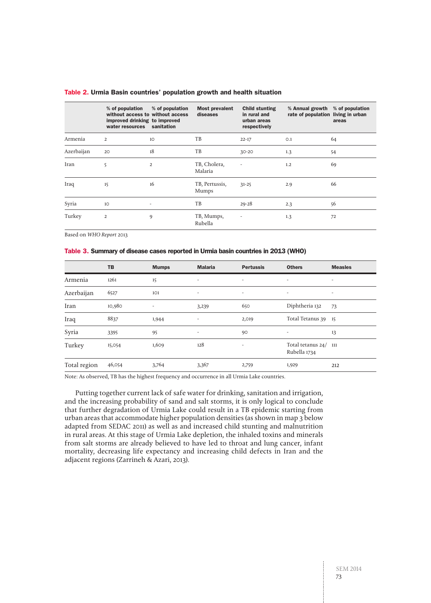| Table 2. Urmia Basin countries' population growth and health situation |  |  |  |  |  |  |
|------------------------------------------------------------------------|--|--|--|--|--|--|
|------------------------------------------------------------------------|--|--|--|--|--|--|

|            | % of population<br>without access to without access<br>improved drinking to improved<br>water resources | % of population<br>sanitation | <b>Most prevalent</b><br>diseases | <b>Child stunting</b><br>in rural and<br>urban areas<br>respectively | % Annual growth<br>rate of population living in urban | % of population<br>areas |
|------------|---------------------------------------------------------------------------------------------------------|-------------------------------|-----------------------------------|----------------------------------------------------------------------|-------------------------------------------------------|--------------------------|
| Armenia    | 2                                                                                                       | 10 <sup>°</sup>               | TB                                | $22 - 17$                                                            | O.1                                                   | 64                       |
| Azerbaijan | 20                                                                                                      | 18                            | TB                                | $30 - 20$                                                            | 1.3                                                   | 54                       |
| Iran       | 5                                                                                                       | $\overline{2}$                | TB, Cholera,<br>Malaria           | $\overline{a}$                                                       | 1.2                                                   | 69                       |
| Iraq       | 15                                                                                                      | 16                            | TB, Pertussis,<br><b>Mumps</b>    | $31 - 25$                                                            | 2.9                                                   | 66                       |
| Syria      | 10                                                                                                      |                               | TB                                | $29 - 28$                                                            | 2.3                                                   | 56                       |
| Turkey     | $\overline{2}$                                                                                          | 9                             | TB, Mumps,<br>Rubella             | ٠                                                                    | 1.3                                                   | 72                       |

Based on WHO Report 2013

#### Table 3. Summary of disease cases reported in Urmia basin countries in 2013 (WHO)

|              | TB     | <b>Mumps</b>             | <b>Malaria</b>           | <b>Pertussis</b>         | <b>Others</b>                         | <b>Measles</b>               |
|--------------|--------|--------------------------|--------------------------|--------------------------|---------------------------------------|------------------------------|
| Armenia      | 1261   | 15                       | $\overline{\phantom{a}}$ | $\overline{a}$           | $\overline{\phantom{a}}$              | $\qquad \qquad \blacksquare$ |
| Azerbaijan   | 6527   | 101                      | $\overline{\phantom{a}}$ | $\overline{\phantom{a}}$ | $\overline{\phantom{a}}$              | $\overline{\phantom{a}}$     |
| Iran         | 10,980 | $\overline{\phantom{a}}$ | 3,239                    | 650                      | Diphtheria 132                        | 73                           |
| Iraq         | 8837   | 1,944                    | $\overline{\phantom{a}}$ | 2,019                    | Total Tetanus 39 15                   |                              |
| Syria        | 3395   | 95                       | $\overline{\phantom{a}}$ | 90                       | $\overline{\phantom{a}}$              | 13                           |
| Turkey       | 15,054 | 1,609                    | 128                      |                          | Total tetanus 24/ 111<br>Rubella 1734 |                              |
| Total region | 46,054 | 3,764                    | 3,367                    | 2,759                    | 1,929                                 | 212                          |

Note: As observed, TB has the highest frequency and occurrence in all Urmia Lake countries.

Putting together current lack of safe water for drinking, sanitation and irrigation, and the increasing probability of sand and salt storms, it is only logical to conclude that further degradation of Urmia Lake could result in a TB epidemic starting from urban areas that accommodate higher population densities (as shown in map 3 below adapted from SEDAC 2011) as well as and increased child stunting and malnutrition in rural areas. At this stage of Urmia Lake depletion, the inhaled toxins and minerals from salt storms are already believed to have led to throat and lung cancer, infant mortality, decreasing life expectancy and increasing child defects in Iran and the adjacent regions (Zarrineh & Azari, 2013).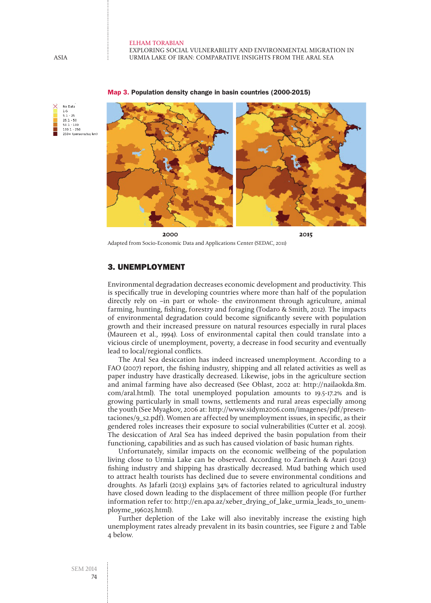Exploring social vulnerability and environmental migration in Urmia Lake of Iran: Comparative insights from the Aral Sea



#### Map 3. Population density change in basin countries (2000-2015)

Adapted from Socio-Economic Data and Applications Center (SEDAC, 2011)

## 3. Unemployment

Environmental degradation decreases economic development and productivity. This is specifically true in developing countries where more than half of the population directly rely on –in part or whole- the environment through agriculture, animal farming, hunting, fishing, forestry and foraging (Todaro & Smith, 2012). The impacts of environmental degradation could become significantly severe with population growth and their increased pressure on natural resources especially in rural places (Maureen et al., 1994). Loss of environmental capital then could translate into a vicious circle of unemployment, poverty, a decrease in food security and eventually lead to local/regional conflicts.

The Aral Sea desiccation has indeed increased unemployment. According to a FAO (2007) report, the fishing industry, shipping and all related activities as well as paper industry have drastically decreased. Likewise, jobs in the agriculture section and animal farming have also decreased (See Oblast, 2002 at: http://nailaokda.8m. com/aral.html). The total unemployed population amounts to 19.5-17.2% and is growing particularly in small towns, settlements and rural areas especially among the youth (See Myagkov, 2006 at: http://www.sidym2006.com/imagenes/pdf/presentaciones/9\_s2.pdf). Women are affected by unemployment issues, in specific, as their gendered roles increases their exposure to social vulnerabilities (Cutter et al. 2009). The desiccation of Aral Sea has indeed deprived the basin population from their functioning, capabilities and as such has caused violation of basic human rights.

Unfortunately, similar impacts on the economic wellbeing of the population living close to Urmia Lake can be observed. According to Zarrineh & Azari (2013) fishing industry and shipping has drastically decreased. Mud bathing which used to attract health tourists has declined due to severe environmental conditions and droughts. As Jafarli (2013) explains 34% of factories related to agricultural industry have closed down leading to the displacement of three million people (For further information refer to: http://en.apa.az/xeber\_drying\_of\_lake\_urmia\_leads\_to\_unemployme\_196025.html).

Further depletion of the Lake will also inevitably increase the existing high unemployment rates already prevalent in its basin countries, see Figure 2 and Table 4 below.

No Date  $1-5$ <br>5.1 - 25  $25.1 - 50$ <br> $50.1 - 100$  $100.1 - 250$ 250+ (persons/sq km)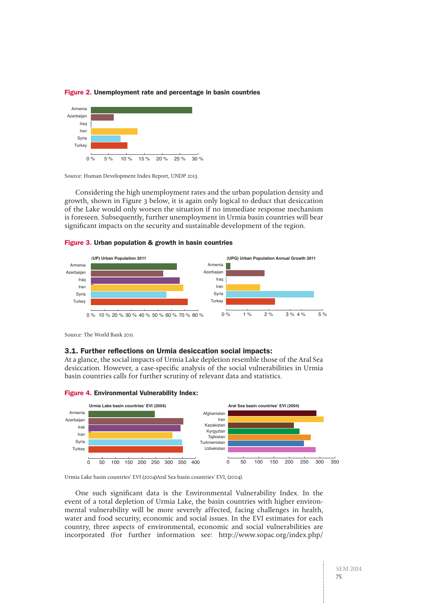

#### Figure 2. Unemployment rate and percentage in basin countries  $U$ unemployment 2011 (Unemp) percentage in Urmia Basin countries in Urmia Basin countries in Urmia Basin countries

Source: Human Development Index Report, UNDP 2013.

Considering the high unemployment rates and the urban population density and growth, shown in Figure 3 below, it is again only logical to deduct that desiccation of the Lake would only worsen the situation if no immediate response mechanism is foreseen. Subsequently, further unemployment in Urmia basin countries will bear significant impacts on the security and sustainable development of the region.





Source: The World Bank 2011.

#### 3.1. Further reflections on Urmia desiccation social impacts:

At a glance, the social impacts of Urmia Lake depletion resemble those of the Aral Sea desiccation. However, a case-specific analysis of the social vulnerabilities in Urmia basin countries calls for further scrutiny of relevant data and statistics.



### Figure 4. Environmental Vulnerability Index:

Urmia Lake basin countries' EVI (2004)Aral Sea basin countries' EVI, (2004).

One such significant data is the Environmental Vulnerability Index. In the event of a total depletion of Urmia Lake, the basin countries with higher environmental vulnerability will be more severely affected, facing challenges in health, water and food security, economic and social issues. In the EVI estimates for each country, three aspects of environmental, economic and social vulnerabilities are incorporated (for further information see: http://www.sopac.org/index.php/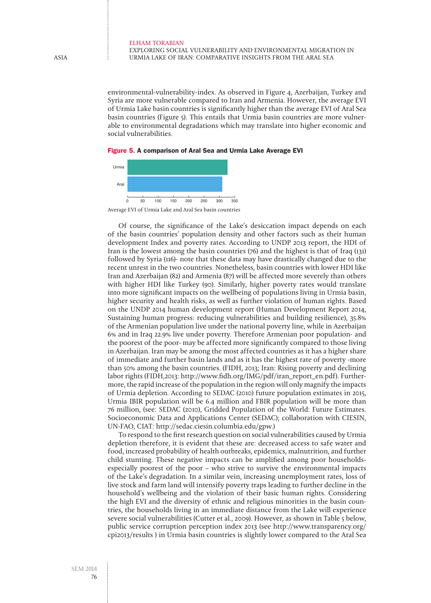#### elham Torabian Exploring social vulnerability and environmental migration in Urmia Lake of Iran: Comparative insights from the Aral Sea

environmental-vulnerability-index. As observed in Figure 4, Azerbaijan, Turkey and Syria are more vulnerable compared to Iran and Armenia. However, the average EVI of Urmia Lake basin countries is significantly higher than the average EVI of Aral Sea basin countries (Figure 5). This entails that Urmia basin countries are more vulnerable to environmental degradations which may translate into higher economic and social vulnerabilities.

#### Figure 5. A comparison of Aral Sea and Urmia Lake Average EVI



Of course, the significance of the Lake's desiccation impact depends on each of the basin countries' population density and other factors such as their human development Index and poverty rates. According to UNDP 2013 report, the HDI of Iran is the lowest among the basin countries (76) and the highest is that of Iraq (131) followed by Syria (116)- note that these data may have drastically changed due to the recent unrest in the two countries. Nonetheless, basin countries with lower HDI like Iran and Azerbaijan (82) and Armenia (87) will be affected more severely than others with higher HDI like Turkey (90). Similarly, higher poverty rates would translate into more significant impacts on the wellbeing of populations living in Urmia basin, higher security and health risks, as well as further violation of human rights. Based on the UNDP 2014 human development report (Human Development Report 2014, Sustaining human progress: reducing vulnerabilities and building resilience), 35.8% of the Armenian population live under the national poverty line, while in Azerbaijan 6% and in Iraq 22.9% live under poverty. Therefore Armenian poor population- and the poorest of the poor- may be affected more significantly compared to those living in Azerbaijan. Iran may be among the most affected countries as it has a higher share of immediate and further basin lands and as it has the highest rate of poverty -more than 50% among the basin countries. (FIDH, 2013; Iran: Rising poverty and declining labor rights (FIDH,2013: http://www.fidh.org/IMG/pdf/iran\_report\_en.pdf). Furthermore, the rapid increase of the population in the region will only magnify the impacts of Urmia depletion. According to SEDAC (2010) future population estimates in 2015, Urmia IBIR population will be 6.4 million and FBIR population will be more than 76 million, (see: SEDAC (2010), Gridded Population of the World: Future Estimates. Socioeconomic Data and Applications Center (SEDAC); collaboration with CIESIN, UN-FAO, CIAT: http://sedac.ciesin.columbia.edu/gpw.)

To respond to the first research question on social vulnerabilities caused by Urmia depletion therefore, it is evident that these are: decreased access to safe water and food, increased probability of health outbreaks, epidemics, malnutrition, and further child stunting. These negative impacts can be amplified among poor householdsespecially poorest of the poor – who strive to survive the environmental impacts of the Lake's degradation. In a similar vein, increasing unemployment rates, loss of live stock and farm land will intensify poverty traps leading to further decline in the household's wellbeing and the violation of their basic human rights. Considering the high EVI and the diversity of ethnic and religious minorities in the basin countries, the households living in an immediate distance from the Lake will experience severe social vulnerabilities (Cutter et al., 2009). However, as shown in Table 5 below, public service corruption perception index 2013 (see http://www.transparency.org/ cpi2013/results ) in Urmia basin countries is slightly lower compared to the Aral Sea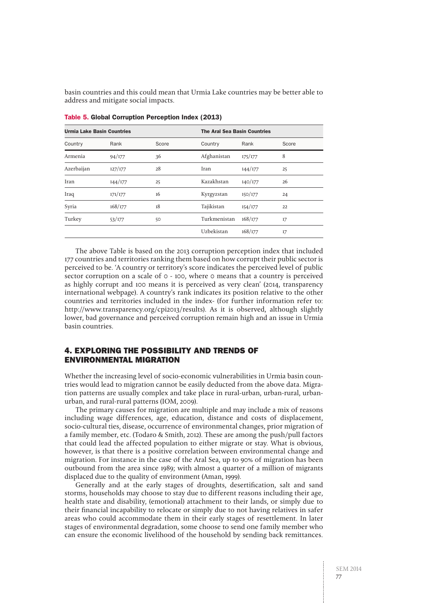basin countries and this could mean that Urmia Lake countries may be better able to address and mitigate social impacts.

| <b>Urmia Lake Basin Countries</b> |         |       |              | <b>The Aral Sea Basin Countries</b> |       |  |
|-----------------------------------|---------|-------|--------------|-------------------------------------|-------|--|
| Country                           | Rank    | Score | Country      | Rank                                | Score |  |
| Armenia                           | 94/177  | 36    | Afghanistan  | 175/177                             | 8     |  |
| Azerbaijan                        | 127/177 | 28    | Iran         | 144/177                             | 25    |  |
| Iran                              | 144/177 | 25    | Kazakhstan   | 140/177                             | 26    |  |
| Iraq                              | 171/177 | 16    | Kyrgyzstan   | 150/177                             | 24    |  |
| Syria                             | 168/177 | 18    | Tajikistan   | 154/177                             | 22    |  |
| Turkey                            | 53/177  | 50    | Turkmenistan | 168/177                             | 17    |  |
|                                   |         |       | Uzbekistan   | 168/177                             | 17    |  |
|                                   |         |       |              |                                     |       |  |

Table 5. Global Corruption Perception Index (2013)

The above Table is based on the 2013 corruption perception index that included 177 countries and territories ranking them based on how corrupt their public sector is perceived to be. 'A country or territory's score indicates the perceived level of public sector corruption on a scale of 0 - 100, where 0 means that a country is perceived as highly corrupt and 100 means it is perceived as very clean' (2014, transparency international webpage). A country's rank indicates its position relative to the other countries and territories included in the index- (for further information refer to: http://www.transparency.org/cpi2013/results). As it is observed, although slightly lower, bad governance and perceived corruption remain high and an issue in Urmia basin countries.

## 4. Exploring the possibility and trends of Environmental migration

Whether the increasing level of socio-economic vulnerabilities in Urmia basin countries would lead to migration cannot be easily deducted from the above data. Migration patterns are usually complex and take place in rural-urban, urban-rural, urbanurban, and rural-rural patterns (IOM, 2009).

The primary causes for migration are multiple and may include a mix of reasons including wage differences, age, education, distance and costs of displacement, socio-cultural ties, disease, occurrence of environmental changes, prior migration of a family member, etc. (Todaro & Smith, 2012). These are among the push/pull factors that could lead the affected population to either migrate or stay. What is obvious, however, is that there is a positive correlation between environmental change and migration. For instance in the case of the Aral Sea, up to 90% of migration has been outbound from the area since 1989; with almost a quarter of a million of migrants displaced due to the quality of environment (Aman, 1999).

Generally and at the early stages of droughts, desertification, salt and sand storms, households may choose to stay due to different reasons including their age, health state and disability, (emotional) attachment to their lands, or simply due to their financial incapability to relocate or simply due to not having relatives in safer areas who could accommodate them in their early stages of resettlement. In later stages of environmental degradation, some choose to send one family member who can ensure the economic livelihood of the household by sending back remittances.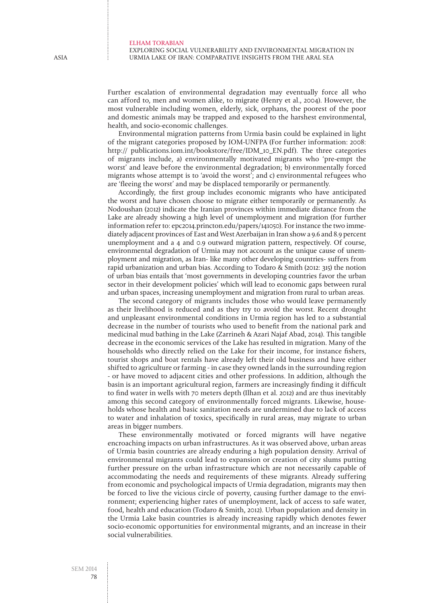Exploring social vulnerability and environmental migration in Urmia Lake of Iran: Comparative insights from the Aral Sea

Further escalation of environmental degradation may eventually force all who can afford to, men and women alike, to migrate (Henry et al., 2004). However, the most vulnerable including women, elderly, sick, orphans, the poorest of the poor and domestic animals may be trapped and exposed to the harshest environmental, health, and socio-economic challenges.

Environmental migration patterns from Urmia basin could be explained in light of the migrant categories proposed by IOM-UNFPA (For further information: 2008: http:// publications.iom.int/bookstore/free/IDM\_10\_EN.pdf). The three categories of migrants include, a) environmentally motivated migrants who 'pre-empt the worst' and leave before the environmental degradation; b) environmentally forced migrants whose attempt is to 'avoid the worst'; and c) environmental refugees who are 'fleeing the worst' and may be displaced temporarily or permanently.

Accordingly, the first group includes economic migrants who have anticipated the worst and have chosen choose to migrate either temporarily or permanently. As Nodoushan (2012) indicate the Iranian provinces within immediate distance from the Lake are already showing a high level of unemployment and migration (for further information refer to: epc2014.princton.edu/papers/141050). For instance the two immediately adjacent provinces of East and West Azerbaijan in Iran show a 9.6 and 8.9 percent unemployment and a 4 and 0.9 outward migration pattern, respectively. Of course, environmental degradation of Urmia may not account as the unique cause of unemployment and migration, as Iran- like many other developing countries- suffers from rapid urbanization and urban bias. According to Todaro & Smith (2012: 315) the notion of urban bias entails that 'most governments in developing countries favor the urban sector in their development policies' which will lead to economic gaps between rural and urban spaces, increasing unemployment and migration from rural to urban areas.

The second category of migrants includes those who would leave permanently as their livelihood is reduced and as they try to avoid the worst. Recent drought and unpleasant environmental conditions in Urmia region has led to a substantial decrease in the number of tourists who used to benefit from the national park and medicinal mud bathing in the Lake (Zarrineh & Azari Najaf Abad, 2014). This tangible decrease in the economic services of the Lake has resulted in migration. Many of the households who directly relied on the Lake for their income, for instance fishers, tourist shops and boat rentals have already left their old business and have either shifted to agriculture or farming - in case they owned lands in the surrounding region - or have moved to adjacent cities and other professions. In addition, although the basin is an important agricultural region, farmers are increasingly finding it difficult to find water in wells with 70 meters depth (Ilhan et al. 2012) and are thus inevitably among this second category of environmentally forced migrants. Likewise, households whose health and basic sanitation needs are undermined due to lack of access to water and inhalation of toxics, specifically in rural areas, may migrate to urban areas in bigger numbers.

These environmentally motivated or forced migrants will have negative encroaching impacts on urban infrastructures. As it was observed above, urban areas of Urmia basin countries are already enduring a high population density. Arrival of environmental migrants could lead to expansion or creation of city slums putting further pressure on the urban infrastructure which are not necessarily capable of accommodating the needs and requirements of these migrants. Already suffering from economic and psychological impacts of Urmia degradation, migrants may then be forced to live the vicious circle of poverty, causing further damage to the environment; experiencing higher rates of unemployment, lack of access to safe water, food, health and education (Todaro & Smith, 2012). Urban population and density in the Urmia Lake basin countries is already increasing rapidly which denotes fewer socio-economic opportunities for environmental migrants, and an increase in their social vulnerabilities.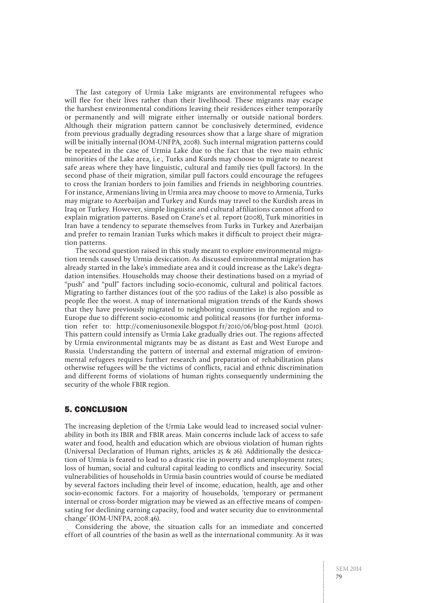The last category of Urmia Lake migrants are environmental refugees who will flee for their lives rather than their livelihood. These migrants may escape the harshest environmental conditions leaving their residences either temporarily or permanently and will migrate either internally or outside national borders. Although their migration pattern cannot be conclusively determined, evidence from previous gradually degrading resources show that a large share of migration will be initially internal (IOM-UNFPA, 2008). Such internal migration patterns could be repeated in the case of Urmia Lake due to the fact that the two main ethnic minorities of the Lake area, i.e., Turks and Kurds may choose to migrate to nearest safe areas where they have linguistic, cultural and family ties (pull factors). In the second phase of their migration, similar pull factors could encourage the refugees to cross the Iranian borders to join families and friends in neighboring countries. For instance, Armenians living in Urmia area may choose to move to Armenia, Turks may migrate to Azerbaijan and Turkey and Kurds may travel to the Kurdish areas in Iraq or Turkey. However, simple linguistic and cultural affiliations cannot afford to explain migration patterns. Based on Crane's et al. report (2008), Turk minorities in Iran have a tendency to separate themselves from Turks in Turkey and Azerbaijan and prefer to remain Iranian Turks which makes it difficult to project their migration patterns.

The second question raised in this study meant to explore environmental migration trends caused by Urmia desiccation. As discussed environmental migration has already started in the lake's immediate area and it could increase as the Lake's degradation intensifies. Households may choose their destinations based on a myriad of "push" and "pull" factors including socio-economic, cultural and political factors. Migrating to farther distances (out of the 500 radius of the Lake) is also possible as people flee the worst. A map of international migration trends of the Kurds shows that they have previously migrated to neighboring countries in the region and to Europe due to different socio-economic and political reasons (for further information refer to: http://comeniusonexile.blogspot.fr/2010/06/blog-post.html (2010). This pattern could intensify as Urmia Lake gradually dries out. The regions affected by Urmia environmental migrants may be as distant as East and West Europe and Russia. Understanding the pattern of internal and external migration of environmental refugees requires further research and preparation of rehabilitation plans otherwise refugees will be the victims of conflicts, racial and ethnic discrimination and different forms of violations of human rights consequently undermining the security of the whole FBIR region.

## 5. Conclusion

The increasing depletion of the Urmia Lake would lead to increased social vulnerability in both its IBIR and FBIR areas. Main concerns include lack of access to safe water and food, health and education which are obvious violation of human rights (Universal Declaration of Human rights, articles 25 & 26). Additionally the desiccation of Urmia is feared to lead to a drastic rise in poverty and unemployment rates; loss of human, social and cultural capital leading to conflicts and insecurity. Social vulnerabilities of households in Urmia basin countries would of course be mediated by several factors including their level of income, education, health, age and other socio-economic factors. For a majority of households, 'temporary or permanent internal or cross-border migration may be viewed as an effective means of compensating for declining earning capacity, food and water security due to environmental change' (IOM-UNFPA, 2008:46).

Considering the above, the situation calls for an immediate and concerted effort of all countries of the basin as well as the international community. As it was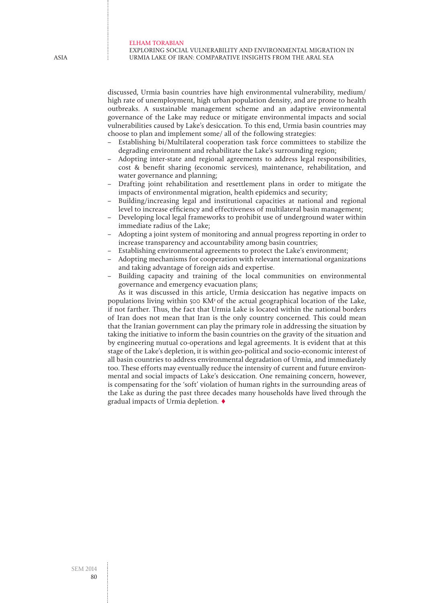#### Exploring social vulnerability and environmental migration in Urmia Lake of Iran: Comparative insights from the Aral Sea

discussed, Urmia basin countries have high environmental vulnerability, medium/ high rate of unemployment, high urban population density, and are prone to health outbreaks. A sustainable management scheme and an adaptive environmental governance of the Lake may reduce or mitigate environmental impacts and social vulnerabilities caused by Lake's desiccation. To this end, Urmia basin countries may choose to plan and implement some/ all of the following strategies:

- Establishing bi/Multilateral cooperation task force committees to stabilize the degrading environment and rehabilitate the Lake's surrounding region;
- Adopting inter-state and regional agreements to address legal responsibilities, cost & benefit sharing (economic services), maintenance, rehabilitation, and water governance and planning;
- Drafting joint rehabilitation and resettlement plans in order to mitigate the impacts of environmental migration, health epidemics and security;
- Building/increasing legal and institutional capacities at national and regional level to increase efficiency and effectiveness of multilateral basin management;
- Developing local legal frameworks to prohibit use of underground water within immediate radius of the Lake;
- Adopting a joint system of monitoring and annual progress reporting in order to increase transparency and accountability among basin countries;
- Establishing environmental agreements to protect the Lake's environment;
- Adopting mechanisms for cooperation with relevant international organizations and taking advantage of foreign aids and expertise.
- Building capacity and training of the local communities on environmental governance and emergency evacuation plans;

As it was discussed in this article, Urmia desiccation has negative impacts on populations living within 500 KM2 of the actual geographical location of the Lake, if not farther. Thus, the fact that Urmia Lake is located within the national borders of Iran does not mean that Iran is the only country concerned. This could mean that the Iranian government can play the primary role in addressing the situation by taking the initiative to inform the basin countries on the gravity of the situation and by engineering mutual co-operations and legal agreements. It is evident that at this stage of the Lake's depletion, it is within geo-political and socio-economic interest of all basin countries to address environmental degradation of Urmia, and immediately too. These efforts may eventually reduce the intensity of current and future environmental and social impacts of Lake's desiccation. One remaining concern, however, is compensating for the 'soft' violation of human rights in the surrounding areas of the Lake as during the past three decades many households have lived through the gradual impacts of Urmia depletion. ♦